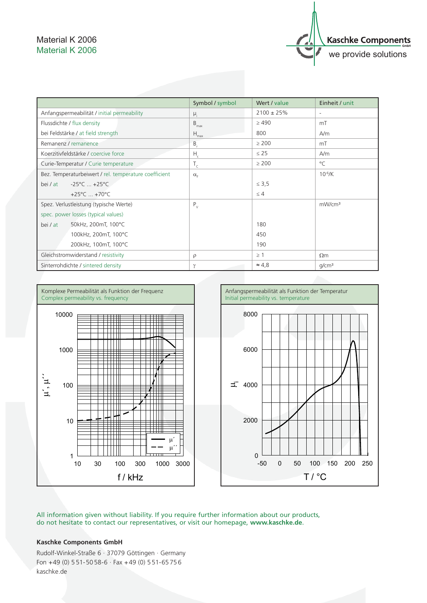## Material K 2006 Material K 2006



|                                                       | Symbol / symbol  | Wert / value    | Einheit / unit           |
|-------------------------------------------------------|------------------|-----------------|--------------------------|
| Anfangspermeabilität / initial permeability           | $\mu_i$          | $2100 \pm 25\%$ | $\overline{\phantom{a}}$ |
| Flussdichte / flux density                            | $B_{\text{max}}$ | $\geq 490$      | mT                       |
| bei Feldstärke / at field strength                    | $H_{\text{max}}$ | 800             | A/m                      |
| Remanenz / remanence                                  | B                | $\geq 200$      | mT                       |
| Koerzitivfeldstärke / coercive force                  | $H_c$            | $\leq$ 25       | A/m                      |
| Curie-Temperatur / Curie temperature                  | $T_c$            | $\geq 200$      | $\circ$ C                |
| Bez. Temperaturbeiwert / rel. temperature coefficient | $\alpha_{\rm F}$ |                 | $10^{-6}$ /K             |
| $-25^{\circ}$ C $+25^{\circ}$ C<br>bei / at           |                  | $\leq 3.5$      |                          |
| +25 $^{\circ}$ C  +70 $^{\circ}$ C                    |                  | $\leq 4$        |                          |
| Spez. Verlustleistung (typische Werte)                | $P_{V}$          |                 | mW/cm <sup>3</sup>       |
| spec. power losses (typical values)                   |                  |                 |                          |
| 50kHz, 200mT, 100°C<br>bei / at                       |                  | 180             |                          |
| 100kHz, 200mT, 100°C                                  |                  | 450             |                          |
| 200kHz, 100mT, 100°C                                  |                  | 190             |                          |
| Gleichstromwiderstand / resistivity                   | $\rho$           | $\geq$ 1        | $\Omega$ m               |
| Sinterrohdichte / sintered density                    | $\gamma$         | $\approx 4.8$   | q/cm <sup>3</sup>        |





All information given without liability. If you require further information about our products, do not hesitate to contact our representatives, or visit our homepage, **www.kaschke.de**.

## **Kaschke Components GmbH**

Rudolf-Winkel-Straße 6 · 37079 Göttingen · Germany Fon  $+49$  (0) 551-5058-6  $\cdot$  Fax  $+49$  (0) 551-65756 kaschke.de